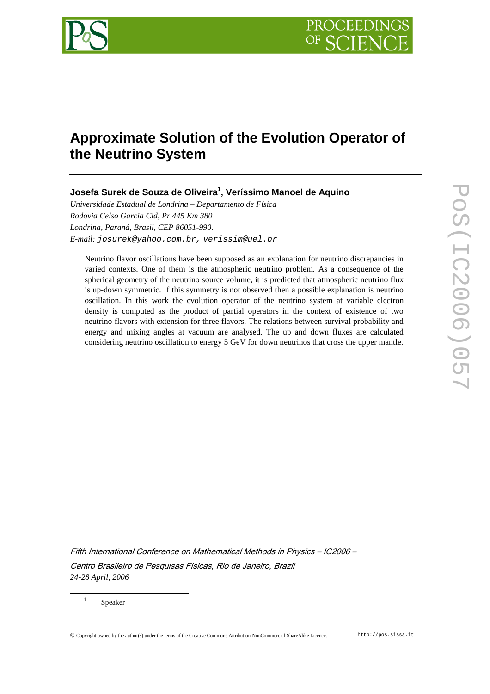

# **Approximate Solution of the Evolution Operator of the Neutrino System**

**Josefa Surek de Souza de Oliveira<sup>1</sup> , Veríssimo Manoel de Aquino** 

*Universidade Estadual de Londrina – Departamento de Física Rodovia Celso Garcia Cid, Pr 445 Km 380 Londrina, Paraná, Brasil, CEP 86051-990. E-mail:* josurek@yahoo.com.br, verissim@uel.br

Neutrino flavor oscillations have been supposed as an explanation for neutrino discrepancies in varied contexts. One of them is the atmospheric neutrino problem. As a consequence of the spherical geometry of the neutrino source volume, it is predicted that atmospheric neutrino flux is up-down symmetric. If this symmetry is not observed then a possible explanation is neutrino oscillation. In this work the evolution operator of the neutrino system at variable electron density is computed as the product of partial operators in the context of existence of two neutrino flavors with extension for three flavors. The relations between survival probability and energy and mixing angles at vacuum are analysed. The up and down fluxes are calculated considering neutrino oscillation to energy 5 GeV for down neutrinos that cross the upper mantle.

Fifth International Conference on Mathematical Methods in Physics – IC2006 – Centro Brasileiro de Pesquisas Físicas, Rio de Janeiro, Brazil *24-28 April, 2006*

Speaker

 $\overline{a}$ 1

Copyright owned by the author(s) under the terms of the Creative Commons Attribution-NonCommercial-ShareAlike Licence. http://pos.sissa.it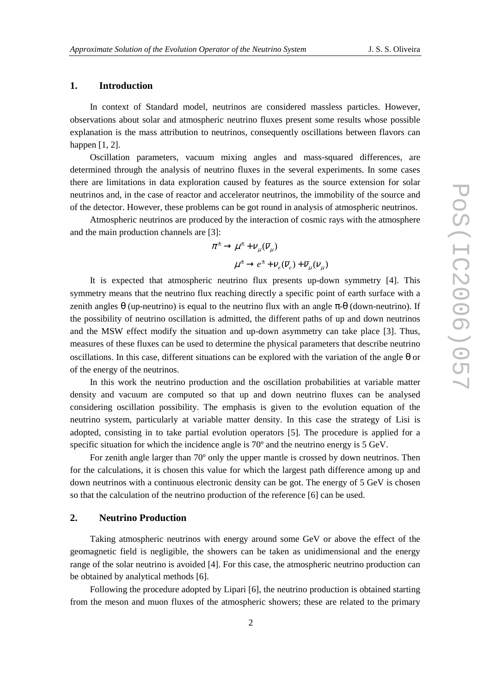## **1. Introduction**

In context of Standard model, neutrinos are considered massless particles. However, observations about solar and atmospheric neutrino fluxes present some results whose possible explanation is the mass attribution to neutrinos, consequently oscillations between flavors can happen [1, 2].

Oscillation parameters, vacuum mixing angles and mass-squared differences, are determined through the analysis of neutrino fluxes in the several experiments. In some cases there are limitations in data exploration caused by features as the source extension for solar neutrinos and, in the case of reactor and accelerator neutrinos, the immobility of the source and of the detector. However, these problems can be got round in analysis of atmospheric neutrinos.

Atmospheric neutrinos are produced by the interaction of cosmic rays with the atmosphere and the main production channels are [3]:

$$
\pi^{\pm} \to \mu^{\pm} + V_{\mu}(\overline{V}_{\mu})
$$

$$
\mu^{\pm} \to e^{\pm} + V_{e}(\overline{V}_{e}) + \overline{V}_{\mu}(V_{\mu})
$$

It is expected that atmospheric neutrino flux presents up-down symmetry [4]. This symmetry means that the neutrino flux reaching directly a specific point of earth surface with a zenith angles θ (up-neutrino) is equal to the neutrino flux with an angle  $π$ -θ (down-neutrino). If the possibility of neutrino oscillation is admitted, the different paths of up and down neutrinos and the MSW effect modify the situation and up-down asymmetry can take place [3]. Thus, measures of these fluxes can be used to determine the physical parameters that describe neutrino oscillations. In this case, different situations can be explored with the variation of the angle  $\theta$  or of the energy of the neutrinos.

In this work the neutrino production and the oscillation probabilities at variable matter density and vacuum are computed so that up and down neutrino fluxes can be analysed considering oscillation possibility. The emphasis is given to the evolution equation of the neutrino system, particularly at variable matter density. In this case the strategy of Lisi is adopted, consisting in to take partial evolution operators [5]. The procedure is applied for a specific situation for which the incidence angle is 70º and the neutrino energy is 5 GeV.

For zenith angle larger than 70º only the upper mantle is crossed by down neutrinos. Then for the calculations, it is chosen this value for which the largest path difference among up and down neutrinos with a continuous electronic density can be got. The energy of 5 GeV is chosen so that the calculation of the neutrino production of the reference [6] can be used.

## **2. Neutrino Production**

Taking atmospheric neutrinos with energy around some GeV or above the effect of the geomagnetic field is negligible, the showers can be taken as unidimensional and the energy range of the solar neutrino is avoided [4]. For this case, the atmospheric neutrino production can be obtained by analytical methods [6].

Following the procedure adopted by Lipari [6], the neutrino production is obtained starting from the meson and muon fluxes of the atmospheric showers; these are related to the primary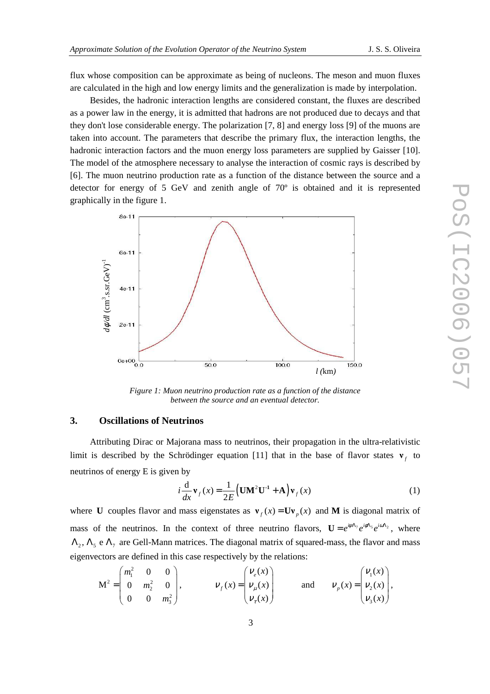flux whose composition can be approximate as being of nucleons. The meson and muon fluxes are calculated in the high and low energy limits and the generalization is made by interpolation.

Besides, the hadronic interaction lengths are considered constant, the fluxes are described as a power law in the energy, it is admitted that hadrons are not produced due to decays and that they don't lose considerable energy. The polarization [7, 8] and energy loss [9] of the muons are taken into account. The parameters that describe the primary flux, the interaction lengths, the hadronic interaction factors and the muon energy loss parameters are supplied by Gaisser [10]. The model of the atmosphere necessary to analyse the interaction of cosmic rays is described by [6]. The muon neutrino production rate as a function of the distance between the source and a detector for energy of 5 GeV and zenith angle of 70º is obtained and it is represented graphically in the figure 1.



*Figure 1: Muon neutrino production rate as a function of the distance between the source and an eventual detector.* 

## **3. Oscillations of Neutrinos**

Attributing Dirac or Majorana mass to neutrinos, their propagation in the ultra-relativistic limit is described by the Schrödinger equation [11] that in the base of flavor states  $\mathbf{v}_f$  to neutrinos of energy E is given by

$$
i\frac{\mathrm{d}}{\mathrm{d}x}\mathbf{v}_f(x) = \frac{1}{2E} \left( \mathbf{U}\mathbf{M}^2 \mathbf{U}^{-1} + \mathbf{A} \right) \mathbf{v}_f(x)
$$
 (1)

where **U** couples flavor and mass eigenstates as  $v_f(x) = Uv_a(x)$  and **M** is diagonal matrix of mass of the neutrinos. In the context of three neutrino flavors,  $\mathbf{U} = e^{i\psi \mathbf{A}_7} e^{i\phi \mathbf{A}_5} e^{i\phi \mathbf{A}_2}$ , where  $\Lambda_2$ ,  $\Lambda_5$  e  $\Lambda_7$  are Gell-Mann matrices. The diagonal matrix of squared-mass, the flavor and mass eigenvectors are defined in this case respectively by the relations:

$$
\mathbf{M}^{2} = \begin{pmatrix} m_{1}^{2} & 0 & 0 \\ 0 & m_{2}^{2} & 0 \\ 0 & 0 & m_{3}^{2} \end{pmatrix}, \qquad \qquad \mathcal{V}_{f}(x) = \begin{pmatrix} \mathcal{V}_{e}(x) \\ \mathcal{V}_{\mu}(x) \\ \mathcal{V}_{\tau}(x) \end{pmatrix} \qquad \text{and} \qquad \mathcal{V}_{p}(x) = \begin{pmatrix} \mathcal{V}_{1}(x) \\ \mathcal{V}_{2}(x) \\ \mathcal{V}_{3}(x) \end{pmatrix},
$$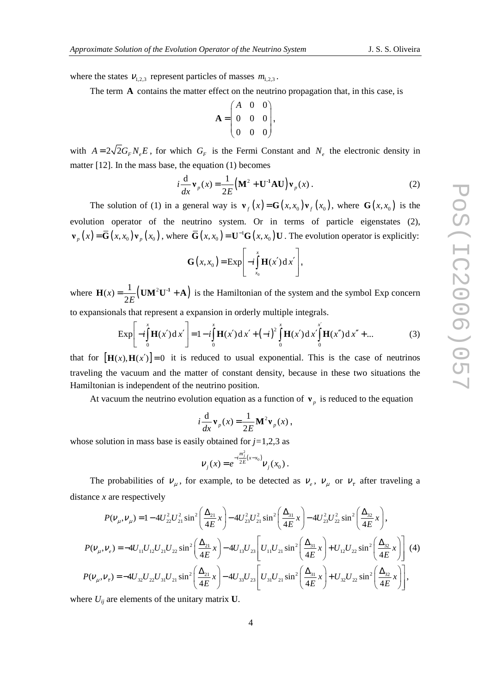where the states  $V_{1,2,3}$  represent particles of masses  $m_{1,2,3}$ .

The term **A** contains the matter effect on the neutrino propagation that, in this case, is

$$
\mathbf{A} = \begin{pmatrix} A & 0 & 0 \\ 0 & 0 & 0 \\ 0 & 0 & 0 \end{pmatrix},
$$

with  $A = 2\sqrt{2}G_F N_e E$ , for which  $G_F$  is the Fermi Constant and  $N_e$  the electronic density in matter [12]. In the mass base, the equation (1) becomes

$$
i\frac{\mathrm{d}}{\mathrm{d}x}\mathbf{v}_p(x) = \frac{1}{2E} \left( \mathbf{M}^2 + \mathbf{U}^{\text{-1}} \mathbf{A} \mathbf{U} \right) \mathbf{v}_p(x) \,. \tag{2}
$$

The solution of (1) in a general way is  $\mathbf{v}_f(x) = \mathbf{G}(x, x_0) \mathbf{v}_f(x_0)$ , where  $\mathbf{G}(x, x_0)$  is the evolution operator of the neutrino system. Or in terms of particle eigenstates (2),  $\mathbf{v}_p(x) = \overline{\mathbf{G}}(x, x_0) \mathbf{v}_p(x_0)$ , where  $\overline{\mathbf{G}}(x, x_0) = \mathbf{U}^{-1} \mathbf{G}(x, x_0) \mathbf{U}$ . The evolution operator is explicitly:

$$
\mathbf{G}\left(x,x_0\right) = \mathrm{Exp}\Bigg[-i\int\limits_{x_0}^x\mathbf{H}(x')\,\mathrm{d}\,x'\Bigg],
$$

where  $\mathbf{H}(x) = \frac{1}{2 E} (\mathbf{U} \mathbf{M}^2 \mathbf{U}^{-1} + \mathbf{A})$ 2 *x E*  $H(x) = \frac{1}{2\pi} (UM^2U^1 + A)$  is the Hamiltonian of the system and the symbol Exp concern to expansionals that represent a expansion in orderly multiple integrals.

$$
\text{Exp}\bigg[-i\int_{0}^{x} \mathbf{H}(x')\,dx'\bigg] = 1 - i\int_{0}^{x} \mathbf{H}(x')\,dx' + (-i)^{2}\int_{0}^{x} \mathbf{H}(x')\,dx'\bigg(\mathbf{H}(x'')\,dx'' + \dots \tag{3}
$$

that for  $[\mathbf{H}(x), \mathbf{H}(x')] = 0$  it is reduced to usual exponential. This is the case of neutrinos traveling the vacuum and the matter of constant density, because in these two situations the Hamiltonian is independent of the neutrino position.

At vacuum the neutrino evolution equation as a function of  $\mathbf{v}_p$  is reduced to the equation

$$
i\frac{\mathrm{d}}{\mathrm{d}x}\mathbf{v}_p(x) = \frac{1}{2E}\mathbf{M}^2\mathbf{v}_p(x)\,,
$$

whose solution in mass base is easily obtained for *j=*1,2,3 as

$$
V_j(x) = e^{-i\frac{m_j^2}{2E}(x-x_0)} V_j(x_0).
$$

The probabilities of  $v_{\mu}$ , for example, to be detected as  $v_{e}$ ,  $v_{\mu}$  or  $v_{\tau}$  after traveling a distance *x* are respectively

$$
P(V_{\mu}, V_{\mu}) = 1 - 4U_{22}^{2}U_{21}^{2}\sin^{2}\left(\frac{\Delta_{21}}{4E}x\right) - 4U_{23}^{2}U_{21}^{2}\sin^{2}\left(\frac{\Delta_{31}}{4E}x\right) - 4U_{23}^{2}U_{22}^{2}\sin^{2}\left(\frac{\Delta_{32}}{4E}x\right),
$$
  
\n
$$
P(V_{\mu}, V_{e}) = -4U_{11}U_{12}U_{21}U_{22}\sin^{2}\left(\frac{\Delta_{21}}{4E}x\right) - 4U_{13}U_{23}\left[U_{11}U_{21}\sin^{2}\left(\frac{\Delta_{31}}{4E}x\right) + U_{12}U_{22}\sin^{2}\left(\frac{\Delta_{32}}{4E}x\right)\right]
$$
(4)  
\n
$$
P(V_{\mu}, V_{\tau}) = -4U_{32}U_{22}U_{31}U_{21}\sin^{2}\left(\frac{\Delta_{21}}{4E}x\right) - 4U_{33}U_{23}\left[U_{31}U_{21}\sin^{2}\left(\frac{\Delta_{31}}{4E}x\right) + U_{32}U_{22}\sin^{2}\left(\frac{\Delta_{32}}{4E}x\right)\right],
$$

where  $U_{ij}$  are elements of the unitary matrix **U**.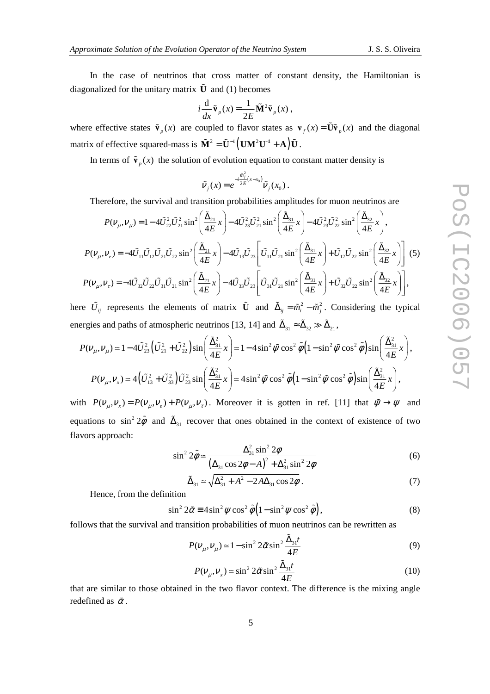In the case of neutrinos that cross matter of constant density, the Hamiltonian is diagonalized for the unitary matrix  $\tilde{U}$  and (1) becomes

$$
i\frac{\mathrm{d}}{\mathrm{d}x}\tilde{\mathbf{v}}_p(x) = \frac{1}{2E}\tilde{\mathbf{M}}^2\tilde{\mathbf{v}}_p(x)\,,
$$

where effective states  $\tilde{\mathbf{v}}_p(x)$  are coupled to flavor states as  $\mathbf{v}_f(x) = \tilde{\mathbf{U}} \tilde{\mathbf{v}}_p(x)$  and the diagonal matrix of effective squared-mass is  $\tilde{M}^2 = \tilde{U}^{-1} (UM^2U^1 + A) \tilde{U}$ .

In terms of  $\tilde{\mathbf{v}}_p(x)$  the solution of evolution equation to constant matter density is

$$
\tilde{V}_j(x) = e^{-i\frac{\tilde{m}_j^2}{2E}(x-x_0)} \tilde{V}_j(x_0).
$$

Therefore, the survival and transition probabilities amplitudes for muon neutrinos are

$$
P(\nu_{\mu}, \nu_{\mu}) = 1 - 4\tilde{U}_{22}^{2}\tilde{U}_{21}^{2}\sin^{2}\left(\frac{\tilde{\Delta}_{21}}{4E}x\right) - 4\tilde{U}_{23}^{2}\tilde{U}_{21}^{2}\sin^{2}\left(\frac{\tilde{\Delta}_{31}}{4E}x\right) - 4\tilde{U}_{23}^{2}\tilde{U}_{22}^{2}\sin^{2}\left(\frac{\tilde{\Delta}_{32}}{4E}x\right),
$$
  
\n
$$
P(\nu_{\mu}, \nu_{e}) = -4\tilde{U}_{11}\tilde{U}_{12}\tilde{U}_{21}\tilde{U}_{22}\sin^{2}\left(\frac{\tilde{\Delta}_{21}}{4E}x\right) - 4\tilde{U}_{13}\tilde{U}_{23}\left[\tilde{U}_{11}\tilde{U}_{21}\sin^{2}\left(\frac{\tilde{\Delta}_{31}}{4E}x\right) + \tilde{U}_{12}\tilde{U}_{22}\sin^{2}\left(\frac{\tilde{\Delta}_{32}}{4E}x\right)\right] (5)
$$
  
\n
$$
P(\nu_{\mu}, \nu_{\tau}) = -4\tilde{U}_{32}\tilde{U}_{22}\tilde{U}_{31}\tilde{U}_{21}\sin^{2}\left(\frac{\tilde{\Delta}_{21}}{4E}x\right) - 4\tilde{U}_{33}\tilde{U}_{23}\left[\tilde{U}_{31}\tilde{U}_{21}\sin^{2}\left(\frac{\tilde{\Delta}_{31}}{4E}x\right) + \tilde{U}_{32}\tilde{U}_{22}\sin^{2}\left(\frac{\tilde{\Delta}_{32}}{4E}x\right)\right],
$$

here  $\tilde{U}_{ij}$  represents the elements of matrix  $\tilde{U}$  and  $\tilde{\Delta}_{ij} = \tilde{m}_i^2 - \tilde{m}_j^2$ . Considering the typical energies and paths of atmospheric neutrinos [13, 14] and  $\tilde{\Delta}_{31} \approx \tilde{\Delta}_{32} \gg \tilde{\Delta}_{21}$ ,

$$
P(\mathbf{V}_{\mu}, \mathbf{V}_{\mu}) \simeq 1 - 4\tilde{U}_{23}^2 \left( \tilde{U}_{21}^2 + \tilde{U}_{22}^2 \right) \sin\left(\frac{\tilde{\Delta}_{31}^2}{4E} x\right) \simeq 1 - 4\sin^2 \tilde{\psi} \cos^2 \tilde{\phi} \left(1 - \sin^2 \tilde{\psi} \cos^2 \tilde{\phi}\right) \sin\left(\frac{\tilde{\Delta}_{31}^2}{4E} x\right),
$$
  
\n
$$
P(\mathbf{V}_{\mu}, \mathbf{V}_{x}) \simeq 4\left(\tilde{U}_{13}^2 + \tilde{U}_{33}^2\right) \tilde{U}_{23}^2 \sin\left(\frac{\tilde{\Delta}_{31}^2}{4E} x\right) \simeq 4\sin^2 \tilde{\psi} \cos^2 \tilde{\phi} \left(1 - \sin^2 \tilde{\psi} \cos^2 \tilde{\phi}\right) \sin\left(\frac{\tilde{\Delta}_{31}^2}{4E} x\right),
$$

with  $P(V_{\mu}, V_{\nu}) = P(V_{\mu}, V_{\nu}) + P(V_{\mu}, V_{\tau})$ . Moreover it is gotten in ref. [11] that  $\tilde{\psi} \to \psi$  and equations to  $\sin^2 2\tilde{\phi}$  and  $\tilde{\Delta}_{31}$  recover that ones obtained in the context of existence of two flavors approach:

$$
\sin^2 2\tilde{\phi} \simeq \frac{\Delta_{31}^2 \sin^2 2\phi}{\left(\Delta_{31} \cos 2\phi - A\right)^2 + \Delta_{31}^2 \sin^2 2\phi}
$$
(6)

$$
\tilde{\Delta}_{31} \simeq \sqrt{\Delta_{31}^2 + A^2 - 2A\Delta_{31}\cos 2\phi} \ . \tag{7}
$$

Hence, from the definition

$$
\sin^2 2\tilde{\alpha} \equiv 4\sin^2 \psi \cos^2 \tilde{\phi} \left(1 - \sin^2 \psi \cos^2 \tilde{\phi}\right),\tag{8}
$$

follows that the survival and transition probabilities of muon neutrinos can be rewritten as

$$
P(v_{\mu}, v_{\mu}) \approx 1 - \sin^2 2\tilde{\alpha}\sin^2 \frac{\tilde{\Delta}_{31}t}{4E}
$$
 (9)

$$
P(\nu_{\mu}, \nu_{x}) \simeq \sin^{2} 2\tilde{\alpha} \sin^{2} \frac{\tilde{\Delta}_{31}t}{4E}
$$
 (10)

that are similar to those obtained in the two flavor context. The difference is the mixing angle redefined as  $\tilde{\alpha}$ .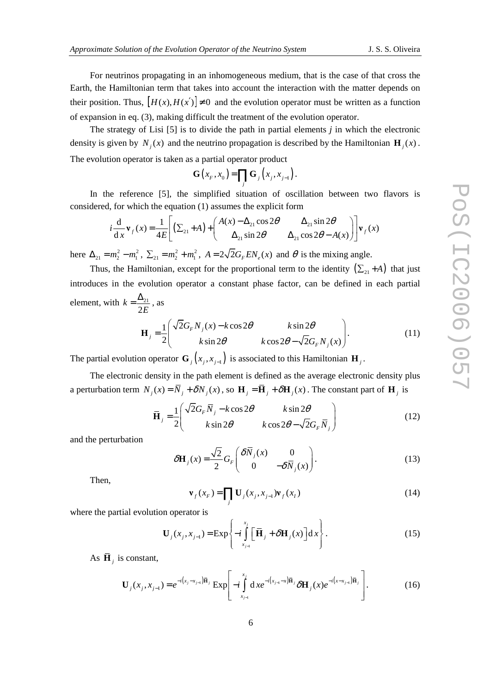For neutrinos propagating in an inhomogeneous medium, that is the case of that cross the Earth, the Hamiltonian term that takes into account the interaction with the matter depends on their position. Thus,  $[H(x), H(x')] \neq 0$  and the evolution operator must be written as a function of expansion in eq. (3), making difficult the treatment of the evolution operator.

The strategy of Lisi [5] is to divide the path in partial elements *j* in which the electronic density is given by  $N_j(x)$  and the neutrino propagation is described by the Hamiltonian  $\mathbf{H}_j(x)$ . The evolution operator is taken as a partial operator product

$$
\mathbf{G}\left(x_{F},x_{0}\right)=\prod_{j}\mathbf{G}_{j}\left(x_{j},x_{j-1}\right).
$$

In the reference [5], the simplified situation of oscillation between two flavors is considered, for which the equation (1) assumes the explicit form

$$
i\frac{d}{dx}\mathbf{v}_f(x) = \frac{1}{4E} \left[ \left( \sum_{21} + A \right) + \left( \begin{array}{cc} A(x) - \Delta_{21} \cos 2\theta & \Delta_{21} \sin 2\theta \\ \Delta_{21} \sin 2\theta & \Delta_{21} \cos 2\theta - A(x) \end{array} \right) \right] \mathbf{v}_f(x)
$$

here  $\Delta_{21} = m_2^2 - m_1^2$ ,  $\Sigma_{21} = m_2^2 + m_1^2$ ,  $A = 2\sqrt{2}G_F EN_e(x)$  and  $\theta$  is the mixing angle.

Thus, the Hamiltonian, except for the proportional term to the identity  $(\sum_{21} + A)$  that just introduces in the evolution operator a constant phase factor, can be defined in each partial element, with  $k = \frac{\Delta_{21}}{2\pi}$ 2 *k E*  $=\frac{\Delta_{21}}{25}$ , as

$$
\mathbf{H}_{j} = \frac{1}{2} \begin{pmatrix} \sqrt{2}G_{F}N_{j}(x) - k\cos 2\theta & k\sin 2\theta \\ k\sin 2\theta & k\cos 2\theta - \sqrt{2}G_{F}N_{j}(x) \end{pmatrix}.
$$
 (11)

The partial evolution operator  $\mathbf{G}_j(x_j, x_{j-1})$  is associated to this Hamiltonian  $\mathbf{H}_j$ .

The electronic density in the path element is defined as the average electronic density plus a perturbation term  $N_j(x) = N_j + \delta N_j(x)$ , so  $H_j = H_j + \delta H_j(x)$ . The constant part of  $H_j$  is

$$
\overline{\mathbf{H}}_{j} = \frac{1}{2} \begin{pmatrix} \sqrt{2}G_{F}\overline{N}_{j} - k\cos 2\theta & k\sin 2\theta \\ k\sin 2\theta & k\cos 2\theta - \sqrt{2}G_{F}\overline{N}_{j} \end{pmatrix}
$$
(12)

and the perturbation

$$
\delta \mathbf{H}_{j}(x) = \frac{\sqrt{2}}{2} G_{F} \begin{pmatrix} \delta \overline{N}_{j}(x) & 0\\ 0 & -\delta \overline{N}_{j}(x) \end{pmatrix} . \tag{13}
$$

Then,

$$
\mathbf{v}_f(x_F) = \prod_j \mathbf{U}_j(x_j, x_{j-1}) \mathbf{v}_f(x_I)
$$
 (14)

where the partial evolution operator is

$$
\mathbf{U}_{j}(x_{j}, x_{j-1}) = \text{Exp}\left\{-i\int_{x_{j-1}}^{x_{j}} \left[\overline{\mathbf{H}}_{j} + \delta \mathbf{H}_{j}(x)\right] dx\right\}.
$$
 (15)

As  $\mathbf{H}_j$  is constant,

$$
\mathbf{U}_{j}(x_{j}, x_{j-1}) = e^{-i(x_{j}-x_{j-1})\overline{\mathbf{H}}_{j}} \exp\left[-i\int_{x_{j-1}}^{x_{j}} dx e^{-i(x_{j-1}-x)\overline{\mathbf{H}}_{j}} \delta \mathbf{H}_{j}(x) e^{-i(x_{j-1})\overline{\mathbf{H}}_{j}}\right].
$$
 (16)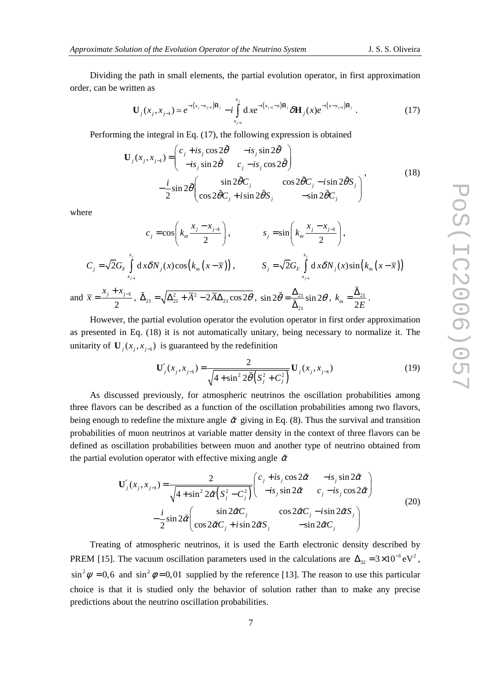Dividing the path in small elements, the partial evolution operator, in first approximation order, can be written as

$$
\mathbf{U}_{j}(x_{j}, x_{j-1}) \simeq e^{-i(x_{j}-x_{j-1})\overline{\mathbf{H}}_{j}} - i \int_{x_{j-1}}^{x_{j}} dx e^{-i(x_{j-1}-x)\overline{\mathbf{H}}_{j}} \delta \mathbf{H}_{j}(x) e^{-i(x_{j-1})\overline{\mathbf{H}}_{j}} . \tag{17}
$$

Performing the integral in Eq. (17), the following expression is obtained

$$
\mathbf{U}_{j}(x_{j}, x_{j-1}) = \begin{pmatrix} c_{j} + is_{j} \cos 2\tilde{\theta} & -is_{j} \sin 2\tilde{\theta} \\ -is_{j} \sin 2\tilde{\theta} & c_{j} - is_{j} \cos 2\tilde{\theta} \end{pmatrix}
$$
  

$$
-\frac{i}{2} \sin 2\tilde{\theta} \begin{pmatrix} \sin 2\tilde{\theta}C_{j} & \cos 2\tilde{\theta}C_{j} - isin 2\tilde{\theta}S_{j} \\ \cos 2\tilde{\theta}C_{j} + isin 2\tilde{\theta}S_{j} & -\sin 2\tilde{\theta}C_{j} \end{pmatrix},
$$
(18)

where

$$
c_j = \cos\left(k_m \frac{x_j - x_{j-1}}{2}\right), \qquad s_j = \sin\left(k_m \frac{x_j - x_{j-1}}{2}\right),
$$
  

$$
C_j = \sqrt{2}G_F \int_{x_{j-1}}^{x_j} d x \delta N_j(x) \cos\left(k_m(x - \overline{x})\right), \qquad S_j = \sqrt{2}G_F \int_{x_{j-1}}^{x_j} d x \delta N_j(x) \sin\left(k_m(x - \overline{x})\right)
$$
  
and  $\overline{x} = \frac{x_j + x_{j-1}}{2}, \ \tilde{\Delta}_{21} = \sqrt{\Delta_{21}^2 + \overline{A}^2 - 2\overline{A}\Delta_{21}\cos 2\theta}, \ \sin 2\tilde{\theta} = \frac{\Delta_{21}}{\tilde{\Delta}_{21}}\sin 2\theta, \ k_m = \frac{\tilde{\Delta}_{21}}{2E}.$ 

However, the partial evolution operator the evolution operator in first order approximation as presented in Eq. (18) it is not automatically unitary, being necessary to normalize it. The unitarity of  $\mathbf{U}_j$  ( $x_j$ , $x_{j-1}$ ) is guaranteed by the redefinition

$$
\mathbf{U}'_j(x_j, x_{j-1}) = \frac{2}{\sqrt{4 + \sin^2 2\tilde{\theta}\left(S_j^2 + C_j^2\right)}} \mathbf{U}_j(x_j, x_{j-1})
$$
(19)

As discussed previously, for atmospheric neutrinos the oscillation probabilities among three flavors can be described as a function of the oscillation probabilities among two flavors, being enough to redefine the mixture angle  $\tilde{\alpha}$  giving in Eq. (8). Thus the survival and transition probabilities of muon neutrinos at variable matter density in the context of three flavors can be defined as oscillation probabilities between muon and another type of neutrino obtained from the partial evolution operator with effective mixing angle  $\tilde{\alpha}$ 

$$
\mathbf{U}'_j(x_j, x_{j-1}) = \frac{2}{\sqrt{4 + \sin^2 2\tilde{\alpha} \left( S_j^2 - C_j^2 \right)}} \begin{pmatrix} c_j + is_j \cos 2\tilde{\alpha} & -is_j \sin 2\tilde{\alpha} \\ -is_j \sin 2\tilde{\alpha} & c_j - is_j \cos 2\tilde{\alpha} \end{pmatrix}
$$
  

$$
-\frac{i}{2} \sin 2\tilde{\alpha} \begin{pmatrix} \sin 2\tilde{\alpha} C_j & \cos 2\tilde{\alpha} C_j - isin 2\tilde{\alpha} S_j \\ \cos 2\tilde{\alpha} C_j + isin 2\tilde{\alpha} S_j & -\sin 2\tilde{\alpha} C_j \end{pmatrix}
$$
(20)

Treating of atmospheric neutrinos, it is used the Earth electronic density described by PREM [15]. The vacuum oscillation parameters used in the calculations are  $\Delta_{32} = 3 \times 10^{-3} \text{ eV}^2$ ,  $\sin^2 \psi = 0.6$  and  $\sin^2 \phi = 0.01$  supplied by the reference [13]. The reason to use this particular choice is that it is studied only the behavior of solution rather than to make any precise predictions about the neutrino oscillation probabilities.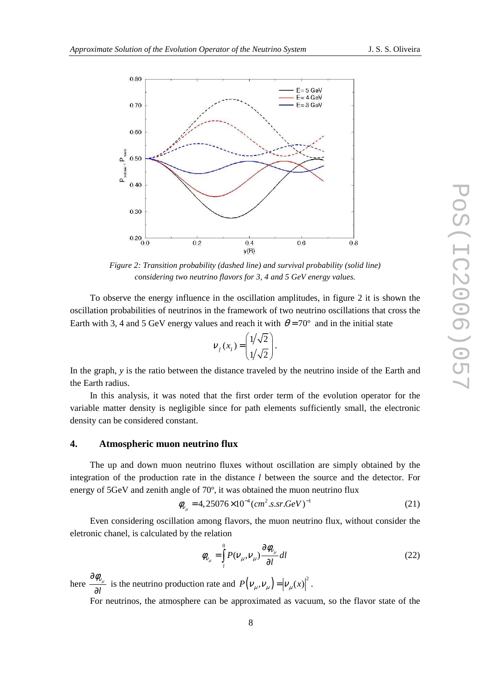

*Figure 2: Transition probability (dashed line) and survival probability (solid line) considering two neutrino flavors for 3, 4 and 5 GeV energy values.* 

To observe the energy influence in the oscillation amplitudes, in figure 2 it is shown the oscillation probabilities of neutrinos in the framework of two neutrino oscillations that cross the Earth with 3, 4 and 5 GeV energy values and reach it with  $\theta = 70^{\circ}$  and in the initial state

$$
V_f(x_I) = \begin{pmatrix} 1/\sqrt{2} \\ 1/\sqrt{2} \end{pmatrix}.
$$

In the graph, *y* is the ratio between the distance traveled by the neutrino inside of the Earth and the Earth radius.

In this analysis, it was noted that the first order term of the evolution operator for the variable matter density is negligible since for path elements sufficiently small, the electronic density can be considered constant.

#### **4. Atmospheric muon neutrino flux**

The up and down muon neutrino fluxes without oscillation are simply obtained by the integration of the production rate in the distance *l* between the source and the detector. For energy of 5GeV and zenith angle of 70º, it was obtained the muon neutrino flux

$$
\phi_{v_{\mu}} = 4,25076 \times 10^{-4} (cm^2.s.sr.GeV)^{-1}
$$
\n(21)

Even considering oscillation among flavors, the muon neutrino flux, without consider the eletronic chanel, is calculated by the relation

$$
\phi_{\nu_{\mu}} = \int_{l}^{0} P(\nu_{\mu}, \nu_{\mu}) \frac{\partial \phi_{\nu_{\mu}}}{\partial l} dl
$$
\n(22)

here *l*  $\partial \phi_{\scriptscriptstyle V_{\mu}}$  $\frac{\varphi_{v_\mu}}{\partial l}$  is the neutrino production rate and  $P(v_\mu, v_\mu) = |\nu_\mu(x)|^2$ .

For neutrinos, the atmosphere can be approximated as vacuum, so the flavor state of the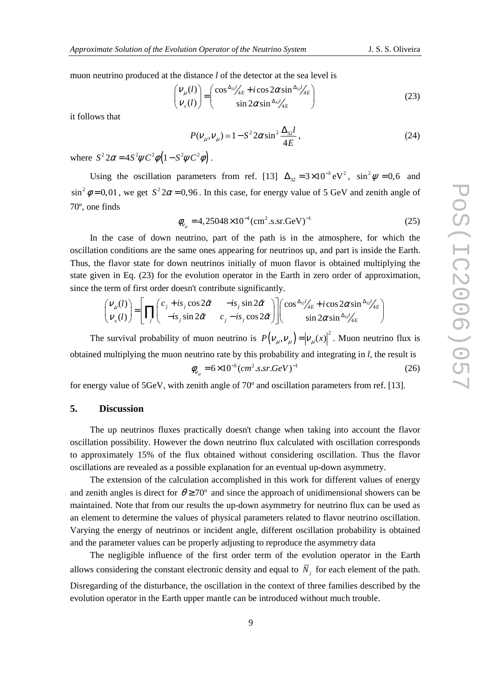muon neutrino produced at the distance *l* of the detector at the sea level is

$$
\begin{pmatrix} V_{\mu}(l) \\ V_{x}(l) \end{pmatrix} = \begin{pmatrix} \cos \frac{\Delta_{32}}{4E} + i \cos 2\alpha \sin \frac{\Delta_{32}}{4E} \\ \sin 2\alpha \sin \frac{\Delta_{32}}{4E} \end{pmatrix}
$$
 (23)

it follows that

$$
P(V_{\mu}, V_{\mu}) \approx 1 - S^2 2\alpha \sin^2 \frac{\Delta_{32}l}{4E},
$$
\n(24)

where  $S^2 2\alpha = 4S^2 \psi C^2 \phi \left( 1 - S^2 \psi C^2 \phi \right)$ .

Using the oscillation parameters from ref. [13]  $\Delta_{32} = 3 \times 10^{-3} \text{ eV}^2$ ,  $\sin^2 \psi = 0.6$  and  $\sin^2 \phi = 0.01$ , we get  $S^2 2\alpha = 0.96$ . In this case, for energy value of 5 GeV and zenith angle of 70º, one finds

$$
\phi_{v_{\mu}} = 4,25048 \times 10^{-4} \, (\text{cm}^2 \cdot \text{s.sr} \cdot \text{GeV})^{-1} \tag{25}
$$

In the case of down neutrino, part of the path is in the atmosphere, for which the oscillation conditions are the same ones appearing for neutrinos up, and part is inside the Earth. Thus, the flavor state for down neutrinos initially of muon flavor is obtained multiplying the state given in Eq. (23) for the evolution operator in the Earth in zero order of approximation, since the term of first order doesn't contribute significantly.

$$
\begin{pmatrix} V_{\mu}(l) \\ V_{x}(l) \end{pmatrix} = \left[ \prod_{j} \begin{pmatrix} c_{j} + is_{j} \cos 2\tilde{\alpha} & -is_{j} \sin 2\tilde{\alpha} \\ -is_{j} \sin 2\tilde{\alpha} & c_{j} - is_{j} \cos 2\tilde{\alpha} \end{pmatrix} \right] \begin{pmatrix} \cos \frac{\Delta_{32}l}{4E} + i \cos 2\alpha \sin \frac{\Delta_{32}l}{4E} \\ \sin 2\alpha \sin \frac{\Delta_{32}l}{4E} \end{pmatrix}
$$

The survival probability of muon neutrino is  $P(V_\mu, V_\mu) = |\nu_\mu(x)|^2$ . Muon neutrino flux is obtained multiplying the muon neutrino rate by this probability and integrating in *l,* the result is

$$
\phi_{v_{\mu}} = 6 \times 10^{-5} (cm^2.s.sr.GeV)^{-1}
$$
\n(26)

for energy value of 5GeV, with zenith angle of 70º and oscillation parameters from ref. [13].

## **5. Discussion**

The up neutrinos fluxes practically doesn't change when taking into account the flavor oscillation possibility. However the down neutrino flux calculated with oscillation corresponds to approximately 15% of the flux obtained without considering oscillation. Thus the flavor oscillations are revealed as a possible explanation for an eventual up-down asymmetry.

The extension of the calculation accomplished in this work for different values of energy and zenith angles is direct for  $\theta \ge 70^{\circ}$  and since the approach of unidimensional showers can be maintained. Note that from our results the up-down asymmetry for neutrino flux can be used as an element to determine the values of physical parameters related to flavor neutrino oscillation. Varying the energy of neutrinos or incident angle, different oscillation probability is obtained and the parameter values can be properly adjusting to reproduce the asymmetry data

The negligible influence of the first order term of the evolution operator in the Earth allows considering the constant electronic density and equal to  $N<sub>j</sub>$  for each element of the path. Disregarding of the disturbance, the oscillation in the context of three families described by the evolution operator in the Earth upper mantle can be introduced without much trouble.